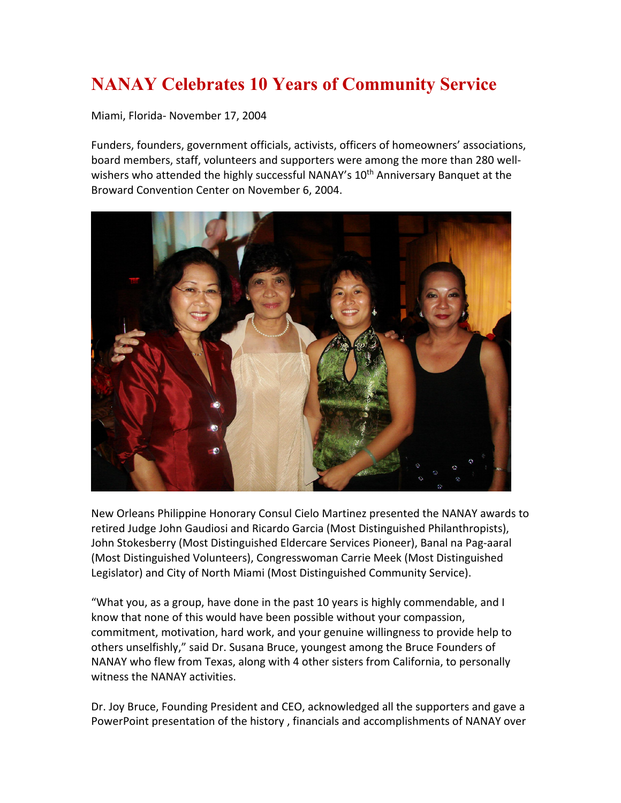## **NANAY Celebrates 10 Years of Community Service**

Miami, Florida- November 17, 2004

Funders, founders, government officials, activists, officers of homeowners' associations, board members, staff, volunteers and supporters were among the more than 280 wellwishers who attended the highly successful NANAY's 10<sup>th</sup> Anniversary Banquet at the Broward Convention Center on November 6, 2004.



New Orleans Philippine Honorary Consul Cielo Martinez presented the NANAY awards to retired Judge John Gaudiosi and Ricardo Garcia (Most Distinguished Philanthropists), John Stokesberry (Most Distinguished Eldercare Services Pioneer), Banal na Pag-aaral (Most Distinguished Volunteers), Congresswoman Carrie Meek (Most Distinguished Legislator) and City of North Miami (Most Distinguished Community Service).

"What you, as a group, have done in the past 10 years is highly commendable, and I know that none of this would have been possible without your compassion, commitment, motivation, hard work, and your genuine willingness to provide help to others unselfishly," said Dr. Susana Bruce, youngest among the Bruce Founders of NANAY who flew from Texas, along with 4 other sisters from California, to personally witness the NANAY activities.

Dr. Joy Bruce, Founding President and CEO, acknowledged all the supporters and gave a PowerPoint presentation of the history , financials and accomplishments of NANAY over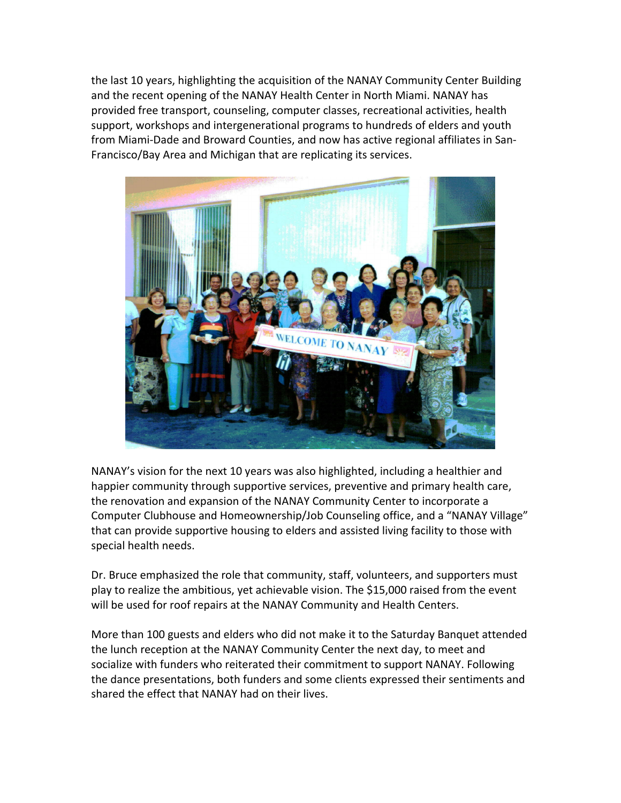the last 10 years, highlighting the acquisition of the NANAY Community Center Building and the recent opening of the NANAY Health Center in North Miami. NANAY has provided free transport, counseling, computer classes, recreational activities, health support, workshops and intergenerational programs to hundreds of elders and youth from Miami-Dade and Broward Counties, and now has active regional affiliates in San-Francisco/Bay Area and Michigan that are replicating its services.



NANAY's vision for the next 10 years was also highlighted, including a healthier and happier community through supportive services, preventive and primary health care, the renovation and expansion of the NANAY Community Center to incorporate a Computer Clubhouse and Homeownership/Job Counseling office, and a "NANAY Village" that can provide supportive housing to elders and assisted living facility to those with special health needs.

Dr. Bruce emphasized the role that community, staff, volunteers, and supporters must play to realize the ambitious, yet achievable vision. The \$15,000 raised from the event will be used for roof repairs at the NANAY Community and Health Centers.

More than 100 guests and elders who did not make it to the Saturday Banquet attended the lunch reception at the NANAY Community Center the next day, to meet and socialize with funders who reiterated their commitment to support NANAY. Following the dance presentations, both funders and some clients expressed their sentiments and shared the effect that NANAY had on their lives.